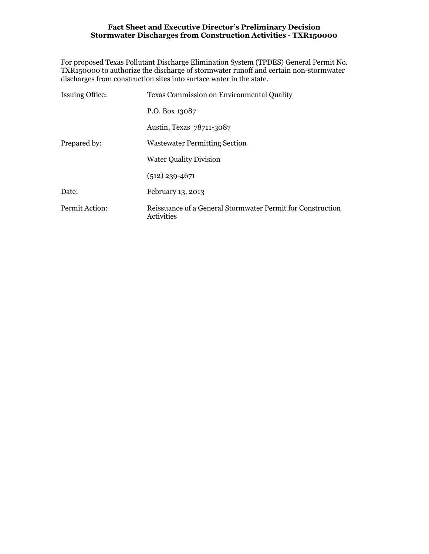For proposed Texas Pollutant Discharge Elimination System (TPDES) General Permit No. TXR150000 to authorize the discharge of stormwater runoff and certain non-stormwater discharges from construction sites into surface water in the state.

| <b>Issuing Office:</b> | <b>Texas Commission on Environmental Quality</b>                         |  |  |  |  |  |
|------------------------|--------------------------------------------------------------------------|--|--|--|--|--|
|                        | P.O. Box 13087                                                           |  |  |  |  |  |
|                        | Austin, Texas 78711-3087                                                 |  |  |  |  |  |
| Prepared by:           | <b>Wastewater Permitting Section</b>                                     |  |  |  |  |  |
|                        | <b>Water Quality Division</b>                                            |  |  |  |  |  |
|                        | $(512)$ 239-4671                                                         |  |  |  |  |  |
| Date:                  | February 13, 2013                                                        |  |  |  |  |  |
| Permit Action:         | Reissuance of a General Stormwater Permit for Construction<br>Activities |  |  |  |  |  |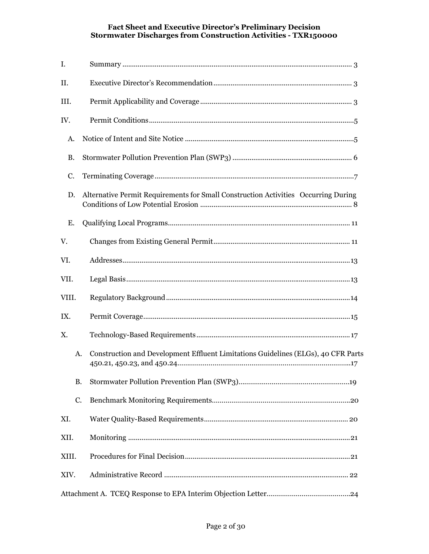| I.    |                                                                                    |  |  |  |  |  |  |
|-------|------------------------------------------------------------------------------------|--|--|--|--|--|--|
| II.   |                                                                                    |  |  |  |  |  |  |
| III.  |                                                                                    |  |  |  |  |  |  |
| IV.   |                                                                                    |  |  |  |  |  |  |
| А.    |                                                                                    |  |  |  |  |  |  |
| B.    |                                                                                    |  |  |  |  |  |  |
| C.    |                                                                                    |  |  |  |  |  |  |
| D.    | Alternative Permit Requirements for Small Construction Activities Occurring During |  |  |  |  |  |  |
| Е.    |                                                                                    |  |  |  |  |  |  |
| V.    |                                                                                    |  |  |  |  |  |  |
| VI.   |                                                                                    |  |  |  |  |  |  |
| VII.  |                                                                                    |  |  |  |  |  |  |
| VIII. |                                                                                    |  |  |  |  |  |  |
| IX.   |                                                                                    |  |  |  |  |  |  |
| Χ.    |                                                                                    |  |  |  |  |  |  |
| A.    | Construction and Development Effluent Limitations Guidelines (ELGs), 40 CFR Parts  |  |  |  |  |  |  |
| B.    |                                                                                    |  |  |  |  |  |  |
| C.    |                                                                                    |  |  |  |  |  |  |
| XI.   |                                                                                    |  |  |  |  |  |  |
| XII.  |                                                                                    |  |  |  |  |  |  |
| XIII. |                                                                                    |  |  |  |  |  |  |
| XIV.  |                                                                                    |  |  |  |  |  |  |
|       |                                                                                    |  |  |  |  |  |  |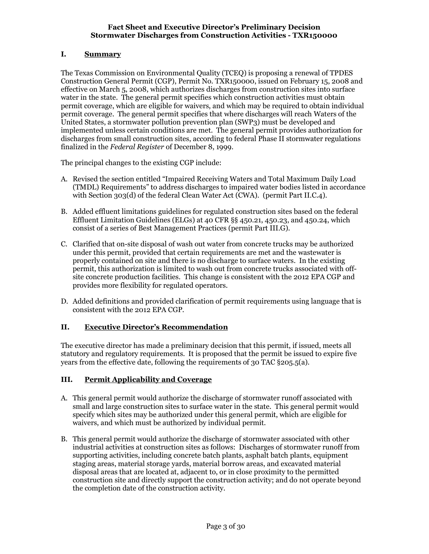# I. Summary

The Texas Commission on Environmental Quality (TCEQ) is proposing a renewal of TPDES Construction General Permit (CGP), Permit No. TXR150000, issued on February 15, 2008 and effective on March 5, 2008, which authorizes discharges from construction sites into surface water in the state. The general permit specifies which construction activities must obtain permit coverage, which are eligible for waivers, and which may be required to obtain individual permit coverage. The general permit specifies that where discharges will reach Waters of the United States, a stormwater pollution prevention plan (SWP3) must be developed and implemented unless certain conditions are met. The general permit provides authorization for discharges from small construction sites, according to federal Phase II stormwater regulations finalized in the Federal Register of December 8, 1999.

The principal changes to the existing CGP include:

- A. Revised the section entitled "Impaired Receiving Waters and Total Maximum Daily Load (TMDL) Requirements" to address discharges to impaired water bodies listed in accordance with Section 303(d) of the federal Clean Water Act (CWA). (permit Part II.C.4).
- B. Added effluent limitations guidelines for regulated construction sites based on the federal Effluent Limitation Guidelines (ELGs) at 40 CFR §§ 450.21, 450.23, and 450.24, which consist of a series of Best Management Practices (permit Part III.G).
- C. Clarified that on-site disposal of wash out water from concrete trucks may be authorized under this permit, provided that certain requirements are met and the wastewater is properly contained on site and there is no discharge to surface waters. In the existing permit, this authorization is limited to wash out from concrete trucks associated with offsite concrete production facilities. This change is consistent with the 2012 EPA CGP and provides more flexibility for regulated operators.
- D. Added definitions and provided clarification of permit requirements using language that is consistent with the 2012 EPA CGP.

## II. Executive Director's Recommendation

The executive director has made a preliminary decision that this permit, if issued, meets all statutory and regulatory requirements. It is proposed that the permit be issued to expire five years from the effective date, following the requirements of 30 TAC §205.5(a).

## III. Permit Applicability and Coverage

- A. This general permit would authorize the discharge of stormwater runoff associated with small and large construction sites to surface water in the state. This general permit would specify which sites may be authorized under this general permit, which are eligible for waivers, and which must be authorized by individual permit.
- B. This general permit would authorize the discharge of stormwater associated with other industrial activities at construction sites as follows: Discharges of stormwater runoff from supporting activities, including concrete batch plants, asphalt batch plants, equipment staging areas, material storage yards, material borrow areas, and excavated material disposal areas that are located at, adjacent to, or in close proximity to the permitted construction site and directly support the construction activity; and do not operate beyond the completion date of the construction activity.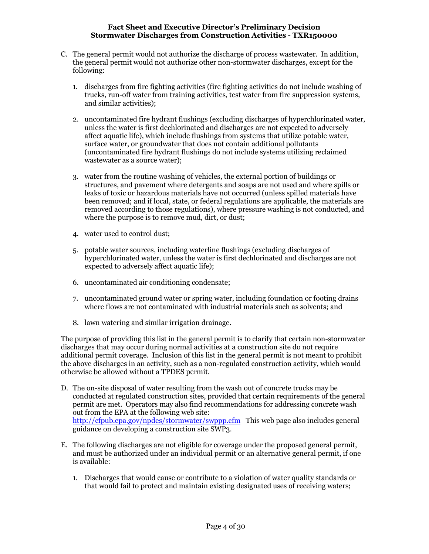- C. The general permit would not authorize the discharge of process wastewater. In addition, the general permit would not authorize other non-stormwater discharges, except for the following:
	- 1. discharges from fire fighting activities (fire fighting activities do not include washing of trucks, run-off water from training activities, test water from fire suppression systems, and similar activities);
	- 2. uncontaminated fire hydrant flushings (excluding discharges of hyperchlorinated water, unless the water is first dechlorinated and discharges are not expected to adversely affect aquatic life), which include flushings from systems that utilize potable water, surface water, or groundwater that does not contain additional pollutants (uncontaminated fire hydrant flushings do not include systems utilizing reclaimed wastewater as a source water);
	- 3. water from the routine washing of vehicles, the external portion of buildings or structures, and pavement where detergents and soaps are not used and where spills or leaks of toxic or hazardous materials have not occurred (unless spilled materials have been removed; and if local, state, or federal regulations are applicable, the materials are removed according to those regulations), where pressure washing is not conducted, and where the purpose is to remove mud, dirt, or dust;
	- 4. water used to control dust;
	- 5. potable water sources, including waterline flushings (excluding discharges of hyperchlorinated water, unless the water is first dechlorinated and discharges are not expected to adversely affect aquatic life);
	- 6. uncontaminated air conditioning condensate;
	- 7. uncontaminated ground water or spring water, including foundation or footing drains where flows are not contaminated with industrial materials such as solvents; and
	- 8. lawn watering and similar irrigation drainage.

The purpose of providing this list in the general permit is to clarify that certain non-stormwater discharges that may occur during normal activities at a construction site do not require additional permit coverage. Inclusion of this list in the general permit is not meant to prohibit the above discharges in an activity, such as a non-regulated construction activity, which would otherwise be allowed without a TPDES permit.

- D. The on-site disposal of water resulting from the wash out of concrete trucks may be conducted at regulated construction sites, provided that certain requirements of the general permit are met. Operators may also find recommendations for addressing concrete wash out from the EPA at the following web site: http://cfpub.epa.gov/npdes/stormwater/swppp.cfm This web page also includes general guidance on developing a construction site SWP3.
- E. The following discharges are not eligible for coverage under the proposed general permit, and must be authorized under an individual permit or an alternative general permit, if one is available:
	- 1. Discharges that would cause or contribute to a violation of water quality standards or that would fail to protect and maintain existing designated uses of receiving waters;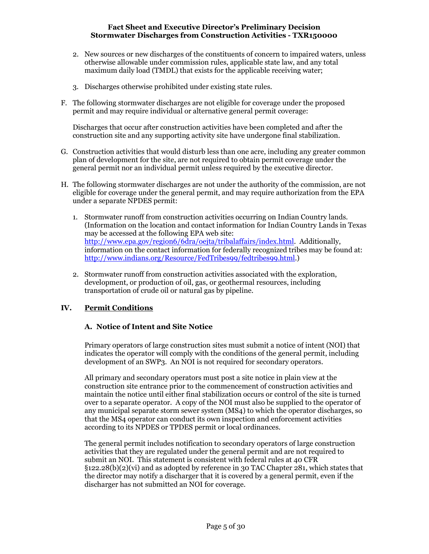- 2. New sources or new discharges of the constituents of concern to impaired waters, unless otherwise allowable under commission rules, applicable state law, and any total maximum daily load (TMDL) that exists for the applicable receiving water;
- 3. Discharges otherwise prohibited under existing state rules.
- F. The following stormwater discharges are not eligible for coverage under the proposed permit and may require individual or alternative general permit coverage:

Discharges that occur after construction activities have been completed and after the construction site and any supporting activity site have undergone final stabilization.

- G. Construction activities that would disturb less than one acre, including any greater common plan of development for the site, are not required to obtain permit coverage under the general permit nor an individual permit unless required by the executive director.
- H. The following stormwater discharges are not under the authority of the commission, are not eligible for coverage under the general permit, and may require authorization from the EPA under a separate NPDES permit:
	- 1. Stormwater runoff from construction activities occurring on Indian Country lands. (Information on the location and contact information for Indian Country Lands in Texas may be accessed at the following EPA web site: http://www.epa.gov/region6/6dra/oejta/tribalaffairs/index.html. Additionally, information on the contact information for federally recognized tribes may be found at: http://www.indians.org/Resource/FedTribes99/fedtribes99.html.)
	- 2. Stormwater runoff from construction activities associated with the exploration, development, or production of oil, gas, or geothermal resources, including transportation of crude oil or natural gas by pipeline.

## IV. Permit Conditions

## A. Notice of Intent and Site Notice

Primary operators of large construction sites must submit a notice of intent (NOI) that indicates the operator will comply with the conditions of the general permit, including development of an SWP3. An NOI is not required for secondary operators.

All primary and secondary operators must post a site notice in plain view at the construction site entrance prior to the commencement of construction activities and maintain the notice until either final stabilization occurs or control of the site is turned over to a separate operator. A copy of the NOI must also be supplied to the operator of any municipal separate storm sewer system (MS4) to which the operator discharges, so that the MS4 operator can conduct its own inspection and enforcement activities according to its NPDES or TPDES permit or local ordinances.

The general permit includes notification to secondary operators of large construction activities that they are regulated under the general permit and are not required to submit an NOI. This statement is consistent with federal rules at 40 CFR  $\S$ 122.28(b)(2)(vi) and as adopted by reference in 30 TAC Chapter 281, which states that the director may notify a discharger that it is covered by a general permit, even if the discharger has not submitted an NOI for coverage.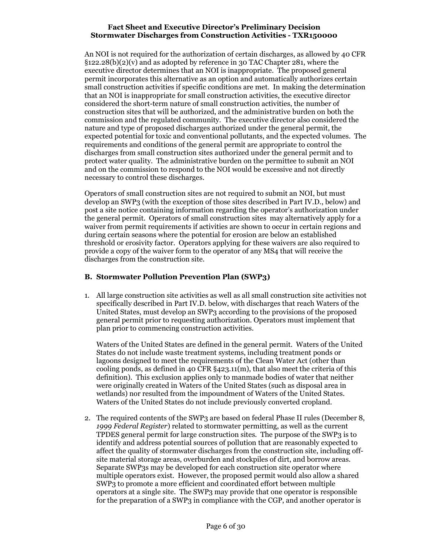An NOI is not required for the authorization of certain discharges, as allowed by 40 CFR §122.28(b)(2)(v) and as adopted by reference in 30 TAC Chapter 281, where the executive director determines that an NOI is inappropriate. The proposed general permit incorporates this alternative as an option and automatically authorizes certain small construction activities if specific conditions are met. In making the determination that an NOI is inappropriate for small construction activities, the executive director considered the short-term nature of small construction activities, the number of construction sites that will be authorized, and the administrative burden on both the commission and the regulated community. The executive director also considered the nature and type of proposed discharges authorized under the general permit, the expected potential for toxic and conventional pollutants, and the expected volumes. The requirements and conditions of the general permit are appropriate to control the discharges from small construction sites authorized under the general permit and to protect water quality. The administrative burden on the permittee to submit an NOI and on the commission to respond to the NOI would be excessive and not directly necessary to control these discharges.

Operators of small construction sites are not required to submit an NOI, but must develop an SWP3 (with the exception of those sites described in Part IV.D., below) and post a site notice containing information regarding the operator's authorization under the general permit. Operators of small construction sites may alternatively apply for a waiver from permit requirements if activities are shown to occur in certain regions and during certain seasons where the potential for erosion are below an established threshold or erosivity factor. Operators applying for these waivers are also required to provide a copy of the waiver form to the operator of any MS4 that will receive the discharges from the construction site.

## B. Stormwater Pollution Prevention Plan (SWP3)

1. All large construction site activities as well as all small construction site activities not specifically described in Part IV.D. below, with discharges that reach Waters of the United States, must develop an SWP3 according to the provisions of the proposed general permit prior to requesting authorization. Operators must implement that plan prior to commencing construction activities.

Waters of the United States are defined in the general permit. Waters of the United States do not include waste treatment systems, including treatment ponds or lagoons designed to meet the requirements of the Clean Water Act (other than cooling ponds, as defined in 40 CFR §423.11(m), that also meet the criteria of this definition). This exclusion applies only to manmade bodies of water that neither were originally created in Waters of the United States (such as disposal area in wetlands) nor resulted from the impoundment of Waters of the United States. Waters of the United States do not include previously converted cropland.

2. The required contents of the SWP3 are based on federal Phase II rules (December 8, 1999 Federal Register) related to stormwater permitting, as well as the current TPDES general permit for large construction sites. The purpose of the SWP3 is to identify and address potential sources of pollution that are reasonably expected to affect the quality of stormwater discharges from the construction site, including offsite material storage areas, overburden and stockpiles of dirt, and borrow areas. Separate SWP3s may be developed for each construction site operator where multiple operators exist. However, the proposed permit would also allow a shared SWP3 to promote a more efficient and coordinated effort between multiple operators at a single site. The SWP3 may provide that one operator is responsible for the preparation of a SWP3 in compliance with the CGP, and another operator is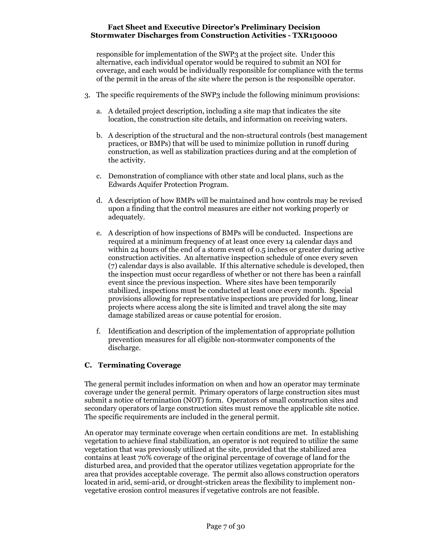responsible for implementation of the SWP3 at the project site. Under this alternative, each individual operator would be required to submit an NOI for coverage, and each would be individually responsible for compliance with the terms of the permit in the areas of the site where the person is the responsible operator.

- 3. The specific requirements of the SWP3 include the following minimum provisions:
	- a. A detailed project description, including a site map that indicates the site location, the construction site details, and information on receiving waters.
	- b. A description of the structural and the non-structural controls (best management practices, or BMPs) that will be used to minimize pollution in runoff during construction, as well as stabilization practices during and at the completion of the activity.
	- c. Demonstration of compliance with other state and local plans, such as the Edwards Aquifer Protection Program.
	- d. A description of how BMPs will be maintained and how controls may be revised upon a finding that the control measures are either not working properly or adequately.
	- e. A description of how inspections of BMPs will be conducted. Inspections are required at a minimum frequency of at least once every 14 calendar days and within 24 hours of the end of a storm event of 0.5 inches or greater during active construction activities. An alternative inspection schedule of once every seven (7) calendar days is also available. If this alternative schedule is developed, then the inspection must occur regardless of whether or not there has been a rainfall event since the previous inspection. Where sites have been temporarily stabilized, inspections must be conducted at least once every month. Special provisions allowing for representative inspections are provided for long, linear projects where access along the site is limited and travel along the site may damage stabilized areas or cause potential for erosion.
	- f. Identification and description of the implementation of appropriate pollution prevention measures for all eligible non-stormwater components of the discharge.

# C. Terminating Coverage

The general permit includes information on when and how an operator may terminate coverage under the general permit. Primary operators of large construction sites must submit a notice of termination (NOT) form. Operators of small construction sites and secondary operators of large construction sites must remove the applicable site notice. The specific requirements are included in the general permit.

An operator may terminate coverage when certain conditions are met. In establishing vegetation to achieve final stabilization, an operator is not required to utilize the same vegetation that was previously utilized at the site, provided that the stabilized area contains at least 70% coverage of the original percentage of coverage of land for the disturbed area, and provided that the operator utilizes vegetation appropriate for the area that provides acceptable coverage. The permit also allows construction operators located in arid, semi-arid, or drought-stricken areas the flexibility to implement nonvegetative erosion control measures if vegetative controls are not feasible.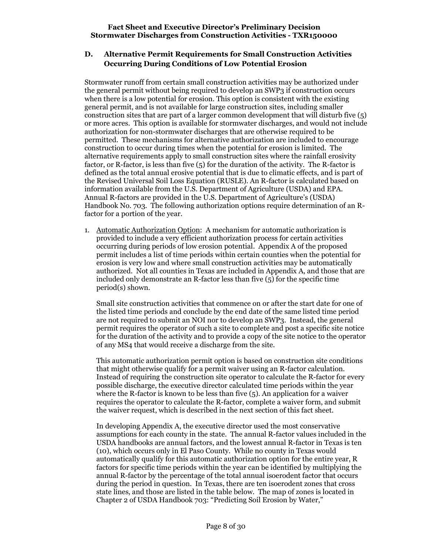# D. Alternative Permit Requirements for Small Construction Activities Occurring During Conditions of Low Potential Erosion

Stormwater runoff from certain small construction activities may be authorized under the general permit without being required to develop an SWP3 if construction occurs when there is a low potential for erosion. This option is consistent with the existing general permit, and is not available for large construction sites, including smaller construction sites that are part of a larger common development that will disturb five (5) or more acres. This option is available for stormwater discharges, and would not include authorization for non-stormwater discharges that are otherwise required to be permitted. These mechanisms for alternative authorization are included to encourage construction to occur during times when the potential for erosion is limited. The alternative requirements apply to small construction sites where the rainfall erosivity factor, or R-factor, is less than five (5) for the duration of the activity. The R-factor is defined as the total annual erosive potential that is due to climatic effects, and is part of the Revised Universal Soil Loss Equation (RUSLE). An R-factor is calculated based on information available from the U.S. Department of Agriculture (USDA) and EPA. Annual R-factors are provided in the U.S. Department of Agriculture's (USDA) Handbook No. 703. The following authorization options require determination of an Rfactor for a portion of the year.

1. Automatic Authorization Option: A mechanism for automatic authorization is provided to include a very efficient authorization process for certain activities occurring during periods of low erosion potential. Appendix A of the proposed permit includes a list of time periods within certain counties when the potential for erosion is very low and where small construction activities may be automatically authorized. Not all counties in Texas are included in Appendix A, and those that are included only demonstrate an R-factor less than five (5) for the specific time period(s) shown.

Small site construction activities that commence on or after the start date for one of the listed time periods and conclude by the end date of the same listed time period are not required to submit an NOI nor to develop an SWP3. Instead, the general permit requires the operator of such a site to complete and post a specific site notice for the duration of the activity and to provide a copy of the site notice to the operator of any MS4 that would receive a discharge from the site.

This automatic authorization permit option is based on construction site conditions that might otherwise qualify for a permit waiver using an R-factor calculation. Instead of requiring the construction site operator to calculate the R-factor for every possible discharge, the executive director calculated time periods within the year where the R-factor is known to be less than five (5). An application for a waiver requires the operator to calculate the R-factor, complete a waiver form, and submit the waiver request, which is described in the next section of this fact sheet.

In developing Appendix A, the executive director used the most conservative assumptions for each county in the state. The annual R-factor values included in the USDA handbooks are annual factors, and the lowest annual R-factor in Texas is ten (10), which occurs only in El Paso County. While no county in Texas would automatically qualify for this automatic authorization option for the entire year, R factors for specific time periods within the year can be identified by multiplying the annual R-factor by the percentage of the total annual isoerodent factor that occurs during the period in question. In Texas, there are ten isoerodent zones that cross state lines, and those are listed in the table below. The map of zones is located in Chapter 2 of USDA Handbook 703: "Predicting Soil Erosion by Water,"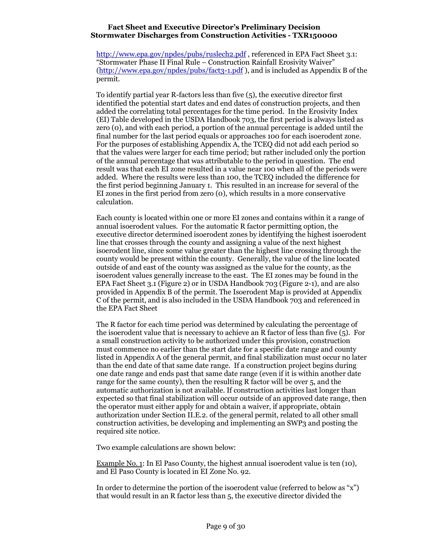http://www.epa.gov/npdes/pubs/ruslech2.pdf, referenced in EPA Fact Sheet 3.1: "Stormwater Phase II Final Rule – Construction Rainfall Erosivity Waiver" (http://www.epa.gov/npdes/pubs/fact3-1.pdf ), and is included as Appendix B of the permit.

To identify partial year R-factors less than five (5), the executive director first identified the potential start dates and end dates of construction projects, and then added the correlating total percentages for the time period. In the Erosivity Index (EI) Table developed in the USDA Handbook 703, the first period is always listed as zero (0), and with each period, a portion of the annual percentage is added until the final number for the last period equals or approaches 100 for each isoerodent zone. For the purposes of establishing Appendix A, the TCEQ did not add each period so that the values were larger for each time period; but rather included only the portion of the annual percentage that was attributable to the period in question. The end result was that each EI zone resulted in a value near 100 when all of the periods were added. Where the results were less than 100, the TCEQ included the difference for the first period beginning January 1. This resulted in an increase for several of the EI zones in the first period from zero (0), which results in a more conservative calculation.

Each county is located within one or more EI zones and contains within it a range of annual isoerodent values. For the automatic R factor permitting option, the executive director determined isoerodent zones by identifying the highest isoerodent line that crosses through the county and assigning a value of the next highest isoerodent line, since some value greater than the highest line crossing through the county would be present within the county. Generally, the value of the line located outside of and east of the county was assigned as the value for the county, as the isoerodent values generally increase to the east. The EI zones may be found in the EPA Fact Sheet 3.1 (Figure 2) or in USDA Handbook 703 (Figure 2-1), and are also provided in Appendix B of the permit. The Isoerodent Map is provided at Appendix C of the permit, and is also included in the USDA Handbook 703 and referenced in the EPA Fact Sheet

The R factor for each time period was determined by calculating the percentage of the isoerodent value that is necessary to achieve an R factor of less than five (5). For a small construction activity to be authorized under this provision, construction must commence no earlier than the start date for a specific date range and county listed in Appendix A of the general permit, and final stabilization must occur no later than the end date of that same date range. If a construction project begins during one date range and ends past that same date range (even if it is within another date range for the same county), then the resulting R factor will be over 5, and the automatic authorization is not available. If construction activities last longer than expected so that final stabilization will occur outside of an approved date range, then the operator must either apply for and obtain a waiver, if appropriate, obtain authorization under Section II.E.2. of the general permit, related to all other small construction activities, be developing and implementing an SWP3 and posting the required site notice.

Two example calculations are shown below:

Example No. 1: In El Paso County, the highest annual isoerodent value is ten (10), and El Paso County is located in EI Zone No. 92.

In order to determine the portion of the isoerodent value (referred to below as "x") that would result in an R factor less than 5, the executive director divided the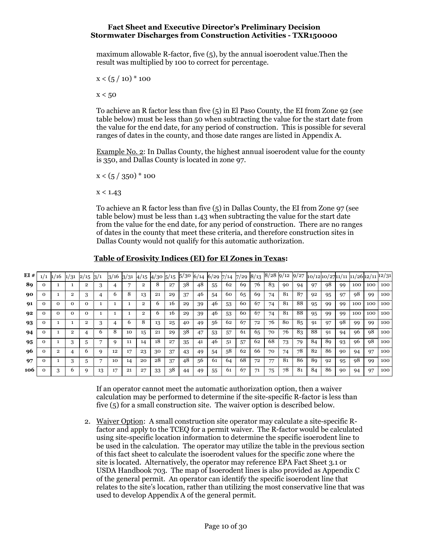maximum allowable R-factor, five (5), by the annual isoerodent value.Then the result was multiplied by 100 to correct for percentage.

 $x < (5 / 10)^* 100$ 

 $x < 50$ 

To achieve an R factor less than five (5) in El Paso County, the EI from Zone 92 (see table below) must be less than 50 when subtracting the value for the start date from the value for the end date, for any period of construction. This is possible for several ranges of dates in the county, and those date ranges are listed in Appendix A.

Example No. 2: In Dallas County, the highest annual isoerodent value for the county is 350, and Dallas County is located in zone 97.

 $x < (5 / 350)^* 100$ 

 $x < 1.43$ 

To achieve an R factor less than five (5) in Dallas County, the EI from Zone 97 (see table below) must be less than 1.43 when subtracting the value for the start date from the value for the end date, for any period of construction. There are no ranges of dates in the county that meet these criteria, and therefore construction sites in Dallas County would not qualify for this automatic authorization.

## Table of Erosivity Indices (EI) for EI Zones in Texas:

| EI# | 1/1 | 1/16        | 1/31     | 2/15     | $\frac{3}{1}$ | 3/16 | 3/31 | 4/15 | $4/30\;5/15$ |    | 5/306/14 |    | $6/29$ 7/14 |    | 7/29 | 8/13 | $8/28$ 9/12 |    | 9/27 | 10/1210/2711/1111/2612/1112/31 |    |    |     |     |     |
|-----|-----|-------------|----------|----------|---------------|------|------|------|--------------|----|----------|----|-------------|----|------|------|-------------|----|------|--------------------------------|----|----|-----|-----|-----|
| 89  |     |             |          | 2        |               |      |      | 2    |              | 27 | 38       | 48 | 55          | 62 | 69   | 76   | 83          | 90 | 94   | 97                             | 98 | 99 | 100 | 100 | 100 |
| 90  |     |             | 2        | 3        |               | h    | 8    | 13   | 21           | 29 | 37       | 46 | 54          | 60 | 65   | 69   | 74          | 81 | 87   | 92                             | 95 | 97 | 98  | 99  | 100 |
| 91  |     | $\mathbf 0$ | Ω        | $\Omega$ |               |      |      | 2    | b.           | 16 | 29       | 39 | 46          | 53 | 60   | 67   | 74          | 81 | 88   | 95                             | 99 | 99 | 100 | 100 | 100 |
| 92  |     | $\Omega$    | $\Omega$ | $\Omega$ |               |      |      | 2    | 6            | 16 | 29       | 39 | 46          | 53 | 60   | 67   | 74          | 81 | 88   | 95                             | 99 | 99 | 100 | 100 | 100 |
| 93  |     |             |          | 2        |               |      |      | 8    | 13           | 25 | 40       | 49 | 56          | 62 | 67   | 72   | 76          | 80 | 85   | -91                            | 97 | 98 | 99  | 99  | 100 |
| 94  |     |             | 2        | 4        | b             | 8    | 10   | 15   | 21           | 29 | 38       | 47 | 53          | 57 | 61   | 65   | 70          | 76 | 83   | 88                             | 91 | 94 | 96  | 98  | 100 |
| 95  |     |             |          |          |               |      | 11   | 14   | 18           | 27 | 35       |    | 46          | 51 | 57   | 62   | 68          | 73 | 79   | 84                             | 89 | 93 | 96  | 98  | 100 |
| 96  |     |             |          | n        |               | 12   | 17   | 23   | 30           | 37 | 43       | 49 | 54          | 58 | 62   | 66   | 70          | 74 | 78   | 82                             | 86 | 90 | 94  | 97  | 100 |
| 97  |     |             | 3        | 5        |               | 10   | 14   | 20   | 28           | 37 | 48       | 56 | 61          | 64 | 68   | 72   | 77          | 81 | 86   | 89                             | 92 | 95 | 98  | 99  | 100 |
| 106 |     |             |          |          | 13            | 17   | 21   | 27   | 33           | 38 | 44       | 49 | 55          | 61 | 67   |      | 75          | 78 | 81   | 84                             | 86 | 90 | 94  | 97  | 100 |

If an operator cannot meet the automatic authorization option, then a waiver calculation may be performed to determine if the site-specific R-factor is less than five (5) for a small construction site. The waiver option is described below.

2. Waiver Option: A small construction site operator may calculate a site-specific Rfactor and apply to the TCEQ for a permit waiver. The R-factor would be calculated using site-specific location information to determine the specific isoerodent line to be used in the calculation. The operator may utilize the table in the previous section of this fact sheet to calculate the isoerodent values for the specific zone where the site is located. Alternatively, the operator may reference EPA Fact Sheet 3.1 or USDA Handbook 703. The map of Isoerodent lines is also provided as Appendix C of the general permit. An operator can identify the specific isoerodent line that relates to the site's location, rather than utilizing the most conservative line that was used to develop Appendix A of the general permit.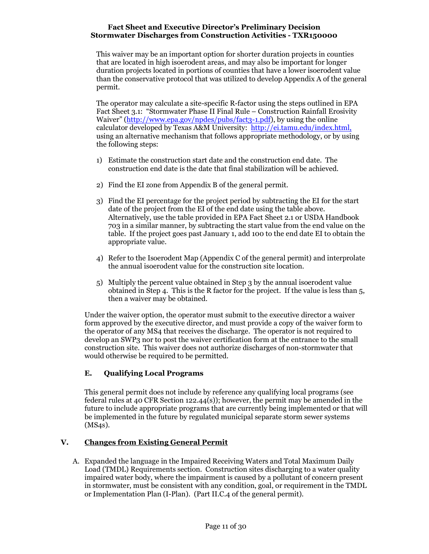This waiver may be an important option for shorter duration projects in counties that are located in high isoerodent areas, and may also be important for longer duration projects located in portions of counties that have a lower isoerodent value than the conservative protocol that was utilized to develop Appendix A of the general permit.

The operator may calculate a site-specific R-factor using the steps outlined in EPA Fact Sheet 3.1: "Stormwater Phase II Final Rule – Construction Rainfall Erosivity Waiver" (http://www.epa.gov/npdes/pubs/fact3-1.pdf), by using the online calculator developed by Texas A&M University: http://ei.tamu.edu/index.html, using an alternative mechanism that follows appropriate methodology, or by using the following steps:

- 1) Estimate the construction start date and the construction end date. The construction end date is the date that final stabilization will be achieved.
- 2) Find the EI zone from Appendix B of the general permit.
- 3) Find the EI percentage for the project period by subtracting the EI for the start date of the project from the EI of the end date using the table above. Alternatively, use the table provided in EPA Fact Sheet 2.1 or USDA Handbook 703 in a similar manner, by subtracting the start value from the end value on the table. If the project goes past January 1, add 100 to the end date EI to obtain the appropriate value.
- 4) Refer to the Isoerodent Map (Appendix C of the general permit) and interprolate the annual isoerodent value for the construction site location.
- 5) Multiply the percent value obtained in Step 3 by the annual isoerodent value obtained in Step 4. This is the R factor for the project. If the value is less than 5, then a waiver may be obtained.

Under the waiver option, the operator must submit to the executive director a waiver form approved by the executive director, and must provide a copy of the waiver form to the operator of any MS4 that receives the discharge. The operator is not required to develop an SWP3 nor to post the waiver certification form at the entrance to the small construction site. This waiver does not authorize discharges of non-stormwater that would otherwise be required to be permitted.

# E. Qualifying Local Programs

This general permit does not include by reference any qualifying local programs (see federal rules at 40 CFR Section 122.44(s)); however, the permit may be amended in the future to include appropriate programs that are currently being implemented or that will be implemented in the future by regulated municipal separate storm sewer systems (MS4s).

# V. Changes from Existing General Permit

A. Expanded the language in the Impaired Receiving Waters and Total Maximum Daily Load (TMDL) Requirements section. Construction sites discharging to a water quality impaired water body, where the impairment is caused by a pollutant of concern present in stormwater, must be consistent with any condition, goal, or requirement in the TMDL or Implementation Plan (I-Plan). (Part II.C.4 of the general permit).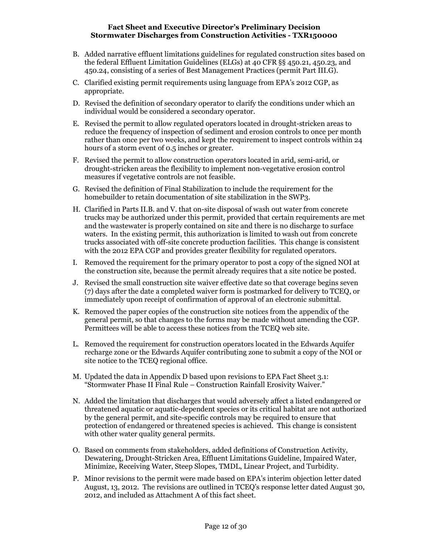- B. Added narrative effluent limitations guidelines for regulated construction sites based on the federal Effluent Limitation Guidelines (ELGs) at 40 CFR §§ 450.21, 450.23, and 450.24, consisting of a series of Best Management Practices (permit Part III.G).
- C. Clarified existing permit requirements using language from EPA's 2012 CGP, as appropriate.
- D. Revised the definition of secondary operator to clarify the conditions under which an individual would be considered a secondary operator.
- E. Revised the permit to allow regulated operators located in drought-stricken areas to reduce the frequency of inspection of sediment and erosion controls to once per month rather than once per two weeks, and kept the requirement to inspect controls within 24 hours of a storm event of 0.5 inches or greater.
- F. Revised the permit to allow construction operators located in arid, semi-arid, or drought-stricken areas the flexibility to implement non-vegetative erosion control measures if vegetative controls are not feasible.
- G. Revised the definition of Final Stabilization to include the requirement for the homebuilder to retain documentation of site stabilization in the SWP3.
- H. Clarified in Parts II.B. and V. that on-site disposal of wash out water from concrete trucks may be authorized under this permit, provided that certain requirements are met and the wastewater is properly contained on site and there is no discharge to surface waters. In the existing permit, this authorization is limited to wash out from concrete trucks associated with off-site concrete production facilities. This change is consistent with the 2012 EPA CGP and provides greater flexibility for regulated operators.
- I. Removed the requirement for the primary operator to post a copy of the signed NOI at the construction site, because the permit already requires that a site notice be posted.
- J. Revised the small construction site waiver effective date so that coverage begins seven (7) days after the date a completed waiver form is postmarked for delivery to TCEQ, or immediately upon receipt of confirmation of approval of an electronic submittal.
- K. Removed the paper copies of the construction site notices from the appendix of the general permit, so that changes to the forms may be made without amending the CGP. Permittees will be able to access these notices from the TCEQ web site.
- L. Removed the requirement for construction operators located in the Edwards Aquifer recharge zone or the Edwards Aquifer contributing zone to submit a copy of the NOI or site notice to the TCEQ regional office.
- M. Updated the data in Appendix D based upon revisions to EPA Fact Sheet 3.1: "Stormwater Phase II Final Rule – Construction Rainfall Erosivity Waiver."
- N. Added the limitation that discharges that would adversely affect a listed endangered or threatened aquatic or aquatic-dependent species or its critical habitat are not authorized by the general permit, and site-specific controls may be required to ensure that protection of endangered or threatened species is achieved. This change is consistent with other water quality general permits.
- O. Based on comments from stakeholders, added definitions of Construction Activity, Dewatering, Drought-Stricken Area, Effluent Limitations Guideline, Impaired Water, Minimize, Receiving Water, Steep Slopes, TMDL, Linear Project, and Turbidity.
- P. Minor revisions to the permit were made based on EPA's interim objection letter dated August, 13, 2012. The revisions are outlined in TCEQ's response letter dated August 30, 2012, and included as Attachment A of this fact sheet.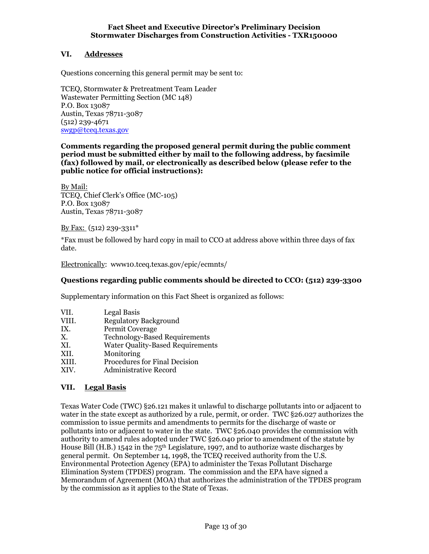# VI. Addresses

Questions concerning this general permit may be sent to:

TCEQ, Stormwater & Pretreatment Team Leader Wastewater Permitting Section (MC 148) P.O. Box 13087 Austin, Texas 78711-3087 (512) 239-4671 swgp@tceq.texas.gov

#### Comments regarding the proposed general permit during the public comment period must be submitted either by mail to the following address, by facsimile (fax) followed by mail, or electronically as described below (please refer to the public notice for official instructions):

By Mail: TCEQ, Chief Clerk's Office (MC-105) P.O. Box 13087 Austin, Texas 78711-3087

By Fax: (512) 239-3311\*

\*Fax must be followed by hard copy in mail to CCO at address above within three days of fax date.

Electronically: www10.tceq.texas.gov/epic/ecmnts/

## Questions regarding public comments should be directed to CCO: (512) 239-3300

Supplementary information on this Fact Sheet is organized as follows:

- VII. Legal Basis<br>VIII. Regulatory
- Regulatory Background
- IX. Permit Coverage
- X. Technology-Based Requirements
- XI. Water Quality-Based Requirements<br>XII. Monitoring
- **Monitoring**
- XIII. Procedures for Final Decision
- XIV. Administrative Record

## VII. Legal Basis

Texas Water Code (TWC) §26.121 makes it unlawful to discharge pollutants into or adjacent to water in the state except as authorized by a rule, permit, or order. TWC §26.027 authorizes the commission to issue permits and amendments to permits for the discharge of waste or pollutants into or adjacent to water in the state. TWC §26.040 provides the commission with authority to amend rules adopted under TWC §26.040 prior to amendment of the statute by House Bill (H.B.) 1542 in the 75<sup>th</sup> Legislature, 1997, and to authorize waste discharges by general permit. On September 14, 1998, the TCEQ received authority from the U.S. Environmental Protection Agency (EPA) to administer the Texas Pollutant Discharge Elimination System (TPDES) program. The commission and the EPA have signed a Memorandum of Agreement (MOA) that authorizes the administration of the TPDES program by the commission as it applies to the State of Texas.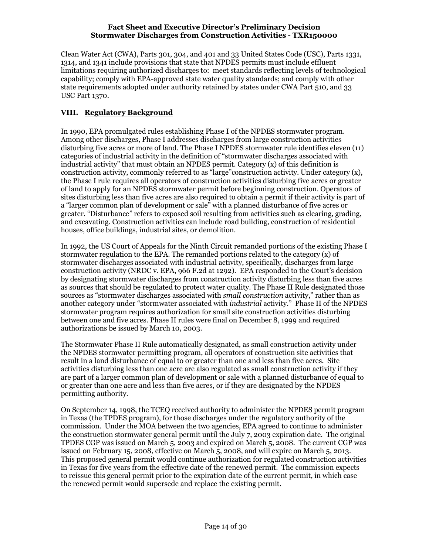Clean Water Act (CWA), Parts 301, 304, and 401 and 33 United States Code (USC), Parts 1331, 1314, and 1341 include provisions that state that NPDES permits must include effluent limitations requiring authorized discharges to: meet standards reflecting levels of technological capability; comply with EPA-approved state water quality standards; and comply with other state requirements adopted under authority retained by states under CWA Part 510, and 33 USC Part 1370.

# VIII. Regulatory Background

In 1990, EPA promulgated rules establishing Phase I of the NPDES stormwater program. Among other discharges, Phase I addresses discharges from large construction activities disturbing five acres or more of land. The Phase I NPDES stormwater rule identifies eleven (11) categories of industrial activity in the definition of "stormwater discharges associated with industrial activity" that must obtain an NPDES permit. Category (x) of this definition is construction activity, commonly referred to as "large"construction activity. Under category (x), the Phase I rule requires all operators of construction activities disturbing five acres or greater of land to apply for an NPDES stormwater permit before beginning construction. Operators of sites disturbing less than five acres are also required to obtain a permit if their activity is part of a "larger common plan of development or sale" with a planned disturbance of five acres or greater. "Disturbance" refers to exposed soil resulting from activities such as clearing, grading, and excavating. Construction activities can include road building, construction of residential houses, office buildings, industrial sites, or demolition.

In 1992, the US Court of Appeals for the Ninth Circuit remanded portions of the existing Phase I stormwater regulation to the EPA. The remanded portions related to the category (x) of stormwater discharges associated with industrial activity, specifically, discharges from large construction activity (NRDC v. EPA, 966 F.2d at 1292). EPA responded to the Court's decision by designating stormwater discharges from construction activity disturbing less than five acres as sources that should be regulated to protect water quality. The Phase II Rule designated those sources as "stormwater discharges associated with small construction activity," rather than as another category under "stormwater associated with industrial activity." Phase II of the NPDES stormwater program requires authorization for small site construction activities disturbing between one and five acres. Phase II rules were final on December 8, 1999 and required authorizations be issued by March 10, 2003.

The Stormwater Phase II Rule automatically designated, as small construction activity under the NPDES stormwater permitting program, all operators of construction site activities that result in a land disturbance of equal to or greater than one and less than five acres. Site activities disturbing less than one acre are also regulated as small construction activity if they are part of a larger common plan of development or sale with a planned disturbance of equal to or greater than one acre and less than five acres, or if they are designated by the NPDES permitting authority.

On September 14, 1998, the TCEQ received authority to administer the NPDES permit program in Texas (the TPDES program), for those discharges under the regulatory authority of the commission. Under the MOA between the two agencies, EPA agreed to continue to administer the construction stormwater general permit until the July 7, 2003 expiration date. The original TPDES CGP was issued on March 5, 2003 and expired on March 5, 2008. The current CGP was issued on February 15, 2008, effective on March 5, 2008, and will expire on March 5, 2013. This proposed general permit would continue authorization for regulated construction activities in Texas for five years from the effective date of the renewed permit. The commission expects to reissue this general permit prior to the expiration date of the current permit, in which case the renewed permit would supersede and replace the existing permit.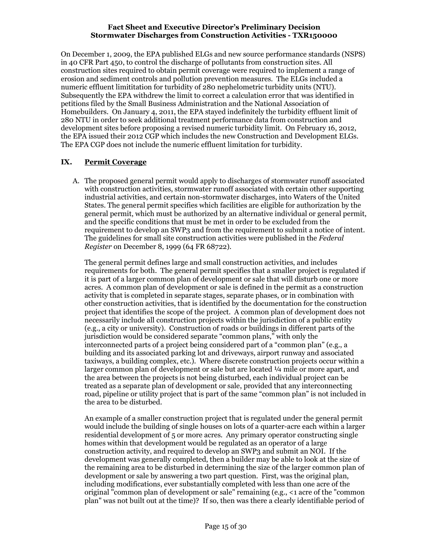On December 1, 2009, the EPA published ELGs and new source performance standards (NSPS) in 40 CFR Part 450, to control the discharge of pollutants from construction sites. All construction sites required to obtain permit coverage were required to implement a range of erosion and sediment controls and pollution prevention measures. The ELGs included a numeric effluent limititation for turbidity of 280 nephelometric turbidity units (NTU). Subsequently the EPA withdrew the limit to correct a calculation error that was identified in petitions filed by the Small Business Administration and the National Association of Homebuilders. On January 4, 2011, the EPA stayed indefinitely the turbidity effluent limit of 280 NTU in order to seek additional treatment performance data from construction and development sites before proposing a revised numeric turbidity limit. On February 16, 2012, the EPA issued their 2012 CGP which includes the new Construction and Development ELGs. The EPA CGP does not include the numeric effluent limitation for turbidity.

# IX. Permit Coverage

A. The proposed general permit would apply to discharges of stormwater runoff associated with construction activities, stormwater runoff associated with certain other supporting industrial activities, and certain non-stormwater discharges, into Waters of the United States. The general permit specifies which facilities are eligible for authorization by the general permit, which must be authorized by an alternative individual or general permit, and the specific conditions that must be met in order to be excluded from the requirement to develop an SWP3 and from the requirement to submit a notice of intent. The guidelines for small site construction activities were published in the Federal Register on December 8, 1999 (64 FR 68722).

The general permit defines large and small construction activities, and includes requirements for both. The general permit specifies that a smaller project is regulated if it is part of a larger common plan of development or sale that will disturb one or more acres. A common plan of development or sale is defined in the permit as a construction activity that is completed in separate stages, separate phases, or in combination with other construction activities, that is identified by the documentation for the construction project that identifies the scope of the project. A common plan of development does not necessarily include all construction projects within the jurisdiction of a public entity (e.g., a city or university). Construction of roads or buildings in different parts of the jurisdiction would be considered separate "common plans," with only the interconnected parts of a project being considered part of a "common plan" (e.g., a building and its associated parking lot and driveways, airport runway and associated taxiways, a building complex, etc.). Where discrete construction projects occur within a larger common plan of development or sale but are located ¼ mile or more apart, and the area between the projects is not being disturbed, each individual project can be treated as a separate plan of development or sale, provided that any interconnecting road, pipeline or utility project that is part of the same "common plan" is not included in the area to be disturbed.

An example of a smaller construction project that is regulated under the general permit would include the building of single houses on lots of a quarter-acre each within a larger residential development of 5 or more acres. Any primary operator constructing single homes within that development would be regulated as an operator of a large construction activity, and required to develop an SWP3 and submit an NOI. If the development was generally completed, then a builder may be able to look at the size of the remaining area to be disturbed in determining the size of the larger common plan of development or sale by answering a two part question. First, was the original plan, including modifications, ever substantially completed with less than one acre of the original "common plan of development or sale" remaining (e.g., <1 acre of the "common plan" was not built out at the time)? If so, then was there a clearly identifiable period of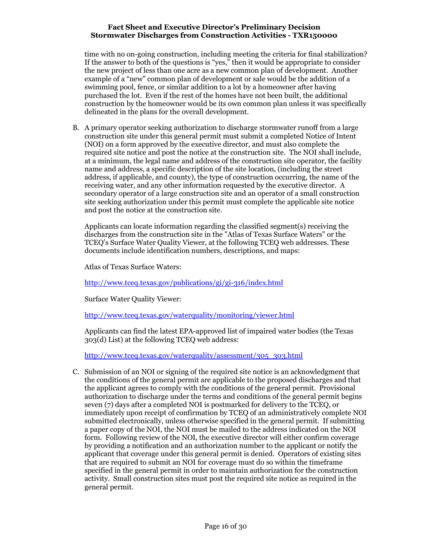time with no on-going construction, including meeting the criteria for final stabilization? If the answer to both of the questions is "yes," then it would be appropriate to consider the new project of less than one acre as a new common plan of development. Another example of a "new" common plan of development or sale would be the addition of a swimming pool, fence, or similar addition to a lot by a homeowner after having purchased the lot. Even if the rest of the homes have not been built, the additional construction by the homeowner would be its own common plan unless it was specifically delineated in the plans for the overall development.

B. A primary operator seeking authorization to discharge stormwater runoff from a large construction site under this general permit must submit a completed Notice of Intent (NOI) on a form approved by the executive director, and must also complete the required site notice and post the notice at the construction site. The NOI shall include, at a minimum, the legal name and address of the construction site operator, the facility name and address, a specific description of the site location, (including the street address, if applicable, and county), the type of construction occurring, the name of the receiving water, and any other information requested by the executive director. A secondary operator of a large construction site and an operator of a small construction site seeking authorization under this permit must complete the applicable site notice and post the notice at the construction site.

Applicants can locate information regarding the classified segment(s) receiving the discharges from the construction site in the "Atlas of Texas Surface Waters" or the TCEQ's Surface Water Quality Viewer, at the following TCEQ web addresses. These documents include identification numbers, descriptions, and maps:

Atlas of Texas Surface Waters:

http://www.tceq.texas.gov/publications/gi/gi-316/index.html

Surface Water Quality Viewer:

http://www.tceq.texas.gov/waterquality/monitoring/viewer.html

Applicants can find the latest EPA-approved list of impaired water bodies (the Texas 303(d) List) at the following TCEQ web address:

http://www.tceq.texas.gov/waterquality/assessment/305\_303.html

C. Submission of an NOI or signing of the required site notice is an acknowledgment that the conditions of the general permit are applicable to the proposed discharges and that the applicant agrees to comply with the conditions of the general permit. Provisional authorization to discharge under the terms and conditions of the general permit begins seven (7) days after a completed NOI is postmarked for delivery to the TCEQ, or immediately upon receipt of confirmation by TCEQ of an administratively complete NOI submitted electronically, unless otherwise specified in the general permit. If submitting a paper copy of the NOI, the NOI must be mailed to the address indicated on the NOI form. Following review of the NOI, the executive director will either confirm coverage by providing a notification and an authorization number to the applicant or notify the applicant that coverage under this general permit is denied. Operators of existing sites that are required to submit an NOI for coverage must do so within the timeframe specified in the general permit in order to maintain authorization for the construction activity. Small construction sites must post the required site notice as required in the general permit.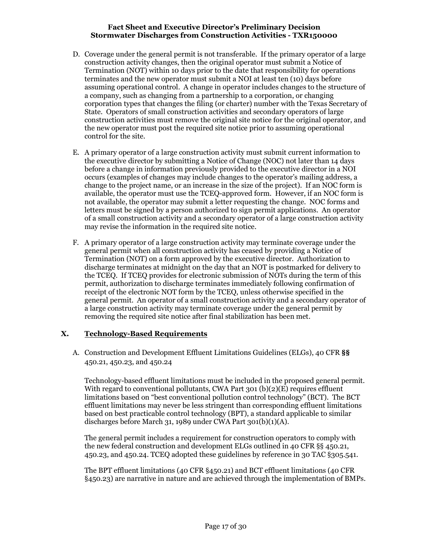- D. Coverage under the general permit is not transferable. If the primary operator of a large construction activity changes, then the original operator must submit a Notice of Termination (NOT) within 10 days prior to the date that responsibility for operations terminates and the new operator must submit a NOI at least ten (10) days before assuming operational control. A change in operator includes changes to the structure of a company, such as changing from a partnership to a corporation, or changing corporation types that changes the filing (or charter) number with the Texas Secretary of State. Operators of small construction activities and secondary operators of large construction activities must remove the original site notice for the original operator, and the new operator must post the required site notice prior to assuming operational control for the site.
- E. A primary operator of a large construction activity must submit current information to the executive director by submitting a Notice of Change (NOC) not later than 14 days before a change in information previously provided to the executive director in a NOI occurs (examples of changes may include changes to the operator's mailing address, a change to the project name, or an increase in the size of the project). If an NOC form is available, the operator must use the TCEQ-approved form. However, if an NOC form is not available, the operator may submit a letter requesting the change. NOC forms and letters must be signed by a person authorized to sign permit applications. An operator of a small construction activity and a secondary operator of a large construction activity may revise the information in the required site notice.
- F. A primary operator of a large construction activity may terminate coverage under the general permit when all construction activity has ceased by providing a Notice of Termination (NOT) on a form approved by the executive director. Authorization to discharge terminates at midnight on the day that an NOT is postmarked for delivery to the TCEQ. If TCEQ provides for electronic submission of NOTs during the term of this permit, authorization to discharge terminates immediately following confirmation of receipt of the electronic NOT form by the TCEQ, unless otherwise specified in the general permit. An operator of a small construction activity and a secondary operator of a large construction activity may terminate coverage under the general permit by removing the required site notice after final stabilization has been met.

## X. Technology-Based Requirements

A. Construction and Development Effluent Limitations Guidelines (ELGs), 40 CFR §§ 450.21, 450.23, and 450.24

Technology-based effluent limitations must be included in the proposed general permit. With regard to conventional pollutants, CWA Part 301 (b)(2)(E) requires effluent limitations based on "best conventional pollution control technology" (BCT). The BCT effluent limitations may never be less stringent than corresponding effluent limitations based on best practicable control technology (BPT), a standard applicable to similar discharges before March 31, 1989 under CWA Part 301(b)(1)(A).

The general permit includes a requirement for construction operators to comply with the new federal construction and development ELGs outlined in 40 CFR §§ 450.21, 450.23, and 450.24. TCEQ adopted these guidelines by reference in 30 TAC §305.541.

The BPT effluent limitations (40 CFR §450.21) and BCT effluent limitations (40 CFR §450.23) are narrative in nature and are achieved through the implementation of BMPs.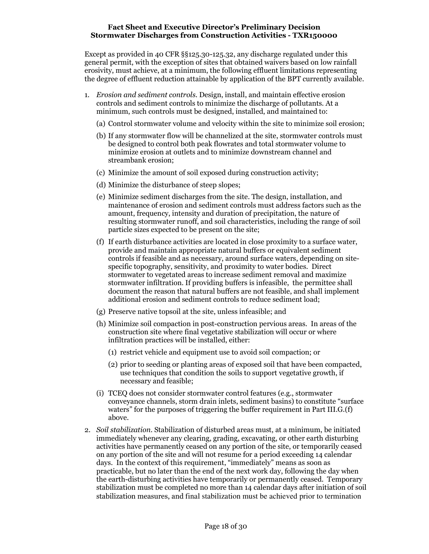Except as provided in 40 CFR §§125.30-125.32, any discharge regulated under this general permit, with the exception of sites that obtained waivers based on low rainfall erosivity, must achieve, at a minimum, the following effluent limitations representing the degree of effluent reduction attainable by application of the BPT currently available.

- 1. Erosion and sediment controls. Design, install, and maintain effective erosion controls and sediment controls to minimize the discharge of pollutants. At a minimum, such controls must be designed, installed, and maintained to:
	- (a) Control stormwater volume and velocity within the site to minimize soil erosion;
	- (b) If any stormwater flow will be channelized at the site, stormwater controls must be designed to control both peak flowrates and total stormwater volume to minimize erosion at outlets and to minimize downstream channel and streambank erosion;
	- (c) Minimize the amount of soil exposed during construction activity;
	- (d) Minimize the disturbance of steep slopes;
	- (e) Minimize sediment discharges from the site. The design, installation, and maintenance of erosion and sediment controls must address factors such as the amount, frequency, intensity and duration of precipitation, the nature of resulting stormwater runoff, and soil characteristics, including the range of soil particle sizes expected to be present on the site;
	- (f) If earth disturbance activities are located in close proximity to a surface water, provide and maintain appropriate natural buffers or equivalent sediment controls if feasible and as necessary, around surface waters, depending on sitespecific topography, sensitivity, and proximity to water bodies. Direct stormwater to vegetated areas to increase sediment removal and maximize stormwater infiltration. If providing buffers is infeasible, the permittee shall document the reason that natural buffers are not feasible, and shall implement additional erosion and sediment controls to reduce sediment load;
	- (g) Preserve native topsoil at the site, unless infeasible; and
	- (h) Minimize soil compaction in post-construction pervious areas. In areas of the construction site where final vegetative stabilization will occur or where infiltration practices will be installed, either:
		- (1) restrict vehicle and equipment use to avoid soil compaction; or
		- (2) prior to seeding or planting areas of exposed soil that have been compacted, use techniques that condition the soils to support vegetative growth, if necessary and feasible;
	- (i) TCEQ does not consider stormwater control features (e.g., stormwater conveyance channels, storm drain inlets, sediment basins) to constitute "surface waters" for the purposes of triggering the buffer requirement in Part III.G.(f) above.
- 2. Soil stabilization. Stabilization of disturbed areas must, at a minimum, be initiated immediately whenever any clearing, grading, excavating, or other earth disturbing activities have permanently ceased on any portion of the site, or temporarily ceased on any portion of the site and will not resume for a period exceeding 14 calendar days. In the context of this requirement, "immediately" means as soon as practicable, but no later than the end of the next work day, following the day when the earth-disturbing activities have temporarily or permanently ceased. Temporary stabilization must be completed no more than 14 calendar days after initiation of soil stabilization measures, and final stabilization must be achieved prior to termination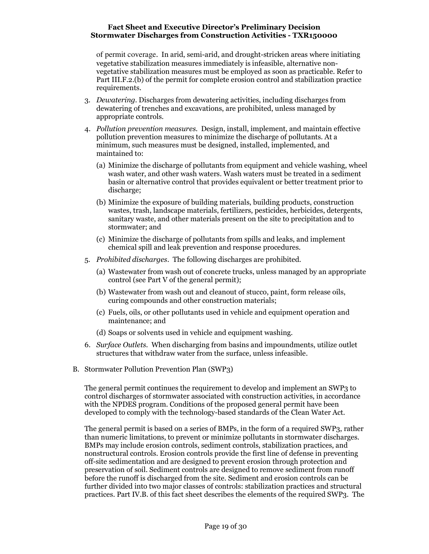of permit coverage. In arid, semi-arid, and drought-stricken areas where initiating vegetative stabilization measures immediately is infeasible, alternative nonvegetative stabilization measures must be employed as soon as practicable. Refer to Part III.F.2.(b) of the permit for complete erosion control and stabilization practice requirements.

- 3. Dewatering. Discharges from dewatering activities, including discharges from dewatering of trenches and excavations, are prohibited, unless managed by appropriate controls.
- 4. Pollution prevention measures. Design, install, implement, and maintain effective pollution prevention measures to minimize the discharge of pollutants. At a minimum, such measures must be designed, installed, implemented, and maintained to:
	- (a) Minimize the discharge of pollutants from equipment and vehicle washing, wheel wash water, and other wash waters. Wash waters must be treated in a sediment basin or alternative control that provides equivalent or better treatment prior to discharge;
	- (b) Minimize the exposure of building materials, building products, construction wastes, trash, landscape materials, fertilizers, pesticides, herbicides, detergents, sanitary waste, and other materials present on the site to precipitation and to stormwater; and
	- (c) Minimize the discharge of pollutants from spills and leaks, and implement chemical spill and leak prevention and response procedures.
- 5. Prohibited discharges. The following discharges are prohibited.
	- (a) Wastewater from wash out of concrete trucks, unless managed by an appropriate control (see Part V of the general permit);
	- (b) Wastewater from wash out and cleanout of stucco, paint, form release oils, curing compounds and other construction materials;
	- (c) Fuels, oils, or other pollutants used in vehicle and equipment operation and maintenance; and
	- (d) Soaps or solvents used in vehicle and equipment washing.
- 6. Surface Outlets. When discharging from basins and impoundments, utilize outlet structures that withdraw water from the surface, unless infeasible.
- B. Stormwater Pollution Prevention Plan (SWP3)

The general permit continues the requirement to develop and implement an SWP3 to control discharges of stormwater associated with construction activities, in accordance with the NPDES program. Conditions of the proposed general permit have been developed to comply with the technology-based standards of the Clean Water Act.

The general permit is based on a series of BMPs, in the form of a required SWP3, rather than numeric limitations, to prevent or minimize pollutants in stormwater discharges. BMPs may include erosion controls, sediment controls, stabilization practices, and nonstructural controls. Erosion controls provide the first line of defense in preventing off-site sedimentation and are designed to prevent erosion through protection and preservation of soil. Sediment controls are designed to remove sediment from runoff before the runoff is discharged from the site. Sediment and erosion controls can be further divided into two major classes of controls: stabilization practices and structural practices. Part IV.B. of this fact sheet describes the elements of the required SWP3. The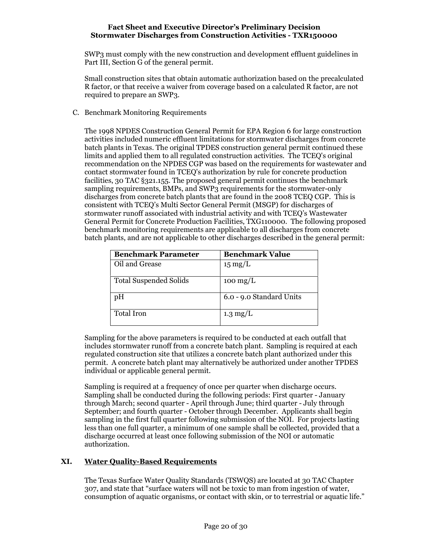SWP3 must comply with the new construction and development effluent guidelines in Part III, Section G of the general permit.

Small construction sites that obtain automatic authorization based on the precalculated R factor, or that receive a waiver from coverage based on a calculated R factor, are not required to prepare an SWP3.

C. Benchmark Monitoring Requirements

The 1998 NPDES Construction General Permit for EPA Region 6 for large construction activities included numeric effluent limitations for stormwater discharges from concrete batch plants in Texas. The original TPDES construction general permit continued these limits and applied them to all regulated construction activities. The TCEQ's original recommendation on the NPDES CGP was based on the requirements for wastewater and contact stormwater found in TCEQ's authorization by rule for concrete production facilities, 30 TAC §321.155. The proposed general permit continues the benchmark sampling requirements, BMPs, and SWP3 requirements for the stormwater-only discharges from concrete batch plants that are found in the 2008 TCEQ CGP. This is consistent with TCEQ's Multi Sector General Permit (MSGP) for discharges of stormwater runoff associated with industrial activity and with TCEQ's Wastewater General Permit for Concrete Production Facilities, TXG110000. The following proposed benchmark monitoring requirements are applicable to all discharges from concrete batch plants, and are not applicable to other discharges described in the general permit:

| <b>Benchmark Parameter</b>    | <b>Benchmark Value</b>           |
|-------------------------------|----------------------------------|
| Oil and Grease                | $15 \text{ mg/L}$                |
| <b>Total Suspended Solids</b> | $100 \frac{\text{mg}}{\text{L}}$ |
| pH                            | 6.0 - 9.0 Standard Units         |
| <b>Total Iron</b>             | $1.3 \text{ mg/L}$               |

Sampling for the above parameters is required to be conducted at each outfall that includes stormwater runoff from a concrete batch plant. Sampling is required at each regulated construction site that utilizes a concrete batch plant authorized under this permit. A concrete batch plant may alternatively be authorized under another TPDES individual or applicable general permit.

Sampling is required at a frequency of once per quarter when discharge occurs. Sampling shall be conducted during the following periods: First quarter - January through March; second quarter - April through June; third quarter - July through September; and fourth quarter - October through December. Applicants shall begin sampling in the first full quarter following submission of the NOI. For projects lasting less than one full quarter, a minimum of one sample shall be collected, provided that a discharge occurred at least once following submission of the NOI or automatic authorization.

# XI. Water Quality-Based Requirements

The Texas Surface Water Quality Standards (TSWQS) are located at 30 TAC Chapter 307, and state that "surface waters will not be toxic to man from ingestion of water, consumption of aquatic organisms, or contact with skin, or to terrestrial or aquatic life."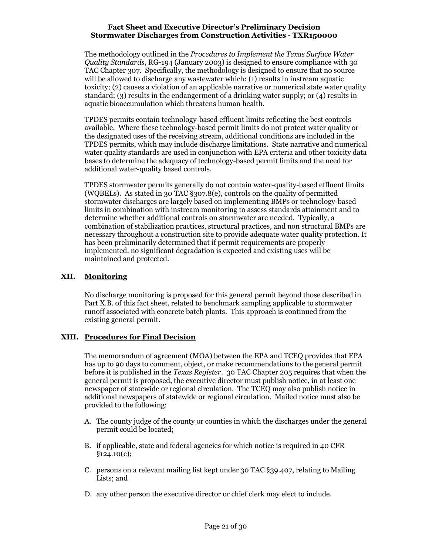The methodology outlined in the Procedures to Implement the Texas Surface Water Quality Standards, RG-194 (January 2003) is designed to ensure compliance with 30 TAC Chapter 307. Specifically, the methodology is designed to ensure that no source will be allowed to discharge any wastewater which: (1) results in instream aquatic toxicity; (2) causes a violation of an applicable narrative or numerical state water quality standard; (3) results in the endangerment of a drinking water supply; or (4) results in aquatic bioaccumulation which threatens human health.

TPDES permits contain technology-based effluent limits reflecting the best controls available. Where these technology-based permit limits do not protect water quality or the designated uses of the receiving stream, additional conditions are included in the TPDES permits, which may include discharge limitations. State narrative and numerical water quality standards are used in conjunction with EPA criteria and other toxicity data bases to determine the adequacy of technology-based permit limits and the need for additional water-quality based controls.

TPDES stormwater permits generally do not contain water-quality-based effluent limits (WQBELs). As stated in 30 TAC §307.8(e), controls on the quality of permitted stormwater discharges are largely based on implementing BMPs or technology-based limits in combination with instream monitoring to assess standards attainment and to determine whether additional controls on stormwater are needed. Typically, a combination of stabilization practices, structural practices, and non structural BMPs are necessary throughout a construction site to provide adequate water quality protection. It has been preliminarily determined that if permit requirements are properly implemented, no significant degradation is expected and existing uses will be maintained and protected.

# XII. Monitoring

No discharge monitoring is proposed for this general permit beyond those described in Part X.B. of this fact sheet, related to benchmark sampling applicable to stormwater runoff associated with concrete batch plants. This approach is continued from the existing general permit.

## XIII. Procedures for Final Decision

The memorandum of agreement (MOA) between the EPA and TCEQ provides that EPA has up to 90 days to comment, object, or make recommendations to the general permit before it is published in the Texas Register. 30 TAC Chapter 205 requires that when the general permit is proposed, the executive director must publish notice, in at least one newspaper of statewide or regional circulation. The TCEQ may also publish notice in additional newspapers of statewide or regional circulation. Mailed notice must also be provided to the following:

- A. The county judge of the county or counties in which the discharges under the general permit could be located;
- B. if applicable, state and federal agencies for which notice is required in 40 CFR  $§124.10(c);$
- C. persons on a relevant mailing list kept under 30 TAC §39.407, relating to Mailing Lists; and
- D. any other person the executive director or chief clerk may elect to include.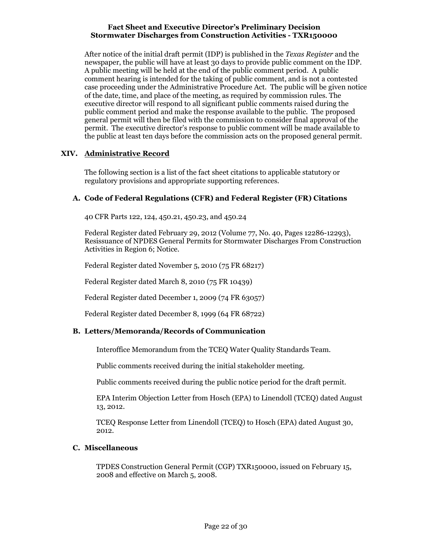After notice of the initial draft permit (IDP) is published in the Texas Register and the newspaper, the public will have at least 30 days to provide public comment on the IDP. A public meeting will be held at the end of the public comment period. A public comment hearing is intended for the taking of public comment, and is not a contested case proceeding under the Administrative Procedure Act. The public will be given notice of the date, time, and place of the meeting, as required by commission rules. The executive director will respond to all significant public comments raised during the public comment period and make the response available to the public. The proposed general permit will then be filed with the commission to consider final approval of the permit. The executive director's response to public comment will be made available to the public at least ten days before the commission acts on the proposed general permit.

# XIV. Administrative Record

The following section is a list of the fact sheet citations to applicable statutory or regulatory provisions and appropriate supporting references.

## A. Code of Federal Regulations (CFR) and Federal Register (FR) Citations

40 CFR Parts 122, 124, 450.21, 450.23, and 450.24

Federal Register dated February 29, 2012 (Volume 77, No. 40, Pages 12286-12293), Resissuance of NPDES General Permits for Stormwater Discharges From Construction Activities in Region 6; Notice.

Federal Register dated November 5, 2010 (75 FR 68217)

Federal Register dated March 8, 2010 (75 FR 10439)

Federal Register dated December 1, 2009 (74 FR 63057)

Federal Register dated December 8, 1999 (64 FR 68722)

## B. Letters/Memoranda/Records of Communication

Interoffice Memorandum from the TCEQ Water Quality Standards Team.

Public comments received during the initial stakeholder meeting.

Public comments received during the public notice period for the draft permit.

EPA Interim Objection Letter from Hosch (EPA) to Linendoll (TCEQ) dated August 13, 2012.

TCEQ Response Letter from Linendoll (TCEQ) to Hosch (EPA) dated August 30, 2012.

# C. Miscellaneous

TPDES Construction General Permit (CGP) TXR150000, issued on February 15, 2008 and effective on March 5, 2008.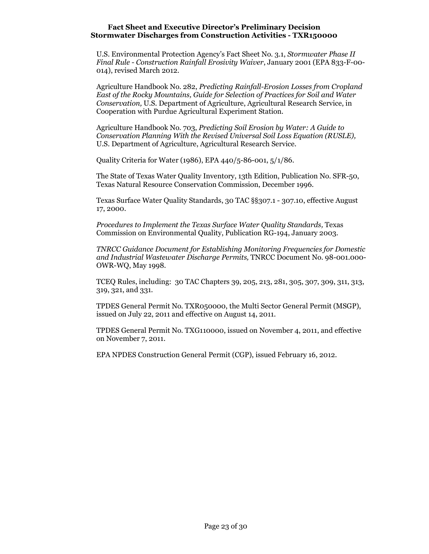U.S. Environmental Protection Agency's Fact Sheet No. 3.1, Stormwater Phase II Final Rule - Construction Rainfall Erosivity Waiver, January 2001 (EPA 833-F-00- 014), revised March 2012.

Agriculture Handbook No. 282, Predicting Rainfall-Erosion Losses from Cropland East of the Rocky Mountains, Guide for Selection of Practices for Soil and Water Conservation, U.S. Department of Agriculture, Agricultural Research Service, in Cooperation with Purdue Agricultural Experiment Station.

Agriculture Handbook No. 703, Predicting Soil Erosion by Water: A Guide to Conservation Planning With the Revised Universal Soil Loss Equation (RUSLE), U.S. Department of Agriculture, Agricultural Research Service.

Quality Criteria for Water (1986), EPA 440/5-86-001, 5/1/86.

The State of Texas Water Quality Inventory, 13th Edition, Publication No. SFR-50, Texas Natural Resource Conservation Commission, December 1996.

Texas Surface Water Quality Standards, 30 TAC §§307.1 - 307.10, effective August 17, 2000.

Procedures to Implement the Texas Surface Water Quality Standards, Texas Commission on Environmental Quality, Publication RG-194, January 2003.

TNRCC Guidance Document for Establishing Monitoring Frequencies for Domestic and Industrial Wastewater Discharge Permits, TNRCC Document No. 98-001.000- OWR-WQ, May 1998.

TCEQ Rules, including: 30 TAC Chapters 39, 205, 213, 281, 305, 307, 309, 311, 313, 319, 321, and 331.

TPDES General Permit No. TXR050000, the Multi Sector General Permit (MSGP), issued on July 22, 2011 and effective on August 14, 2011.

TPDES General Permit No. TXG110000, issued on November 4, 2011, and effective on November 7, 2011.

EPA NPDES Construction General Permit (CGP), issued February 16, 2012.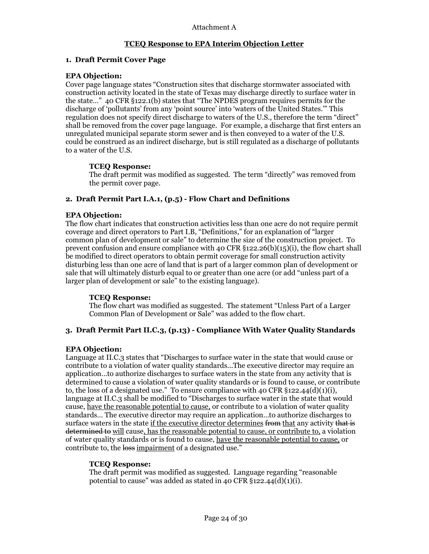# 1. Draft Permit Cover Page

## EPA Objection:

Cover page language states "Construction sites that discharge stormwater associated with construction activity located in the state of Texas may discharge directly to surface water in the state…" 40 CFR §122.1(b) states that "The NPDES program requires permits for the discharge of 'pollutants' from any 'point source' into 'waters of the United States.'" This regulation does not specify direct discharge to waters of the U.S., therefore the term "direct" shall be removed from the cover page language. For example, a discharge that first enters an unregulated municipal separate storm sewer and is then conveyed to a water of the U.S. could be construed as an indirect discharge, but is still regulated as a discharge of pollutants to a water of the U.S.

# TCEQ Response:

The draft permit was modified as suggested. The term "directly" was removed from the permit cover page.

# 2. Draft Permit Part I.A.1, (p.5) - Flow Chart and Definitions

## EPA Objection:

The flow chart indicates that construction activities less than one acre do not require permit coverage and direct operators to Part I.B, "Definitions," for an explanation of "larger common plan of development or sale" to determine the size of the construction project. To prevent confusion and ensure compliance with 40 CFR  $\S$ 122.26(b)(15)(i), the flow chart shall be modified to direct operators to obtain permit coverage for small construction activity disturbing less than one acre of land that is part of a larger common plan of development or sale that will ultimately disturb equal to or greater than one acre (or add "unless part of a larger plan of development or sale" to the existing language).

## TCEQ Response:

The flow chart was modified as suggested. The statement "Unless Part of a Larger Common Plan of Development or Sale" was added to the flow chart.

## 3. Draft Permit Part II.C.3, (p.13) - Compliance With Water Quality Standards

# EPA Objection:

Language at II.C.3 states that "Discharges to surface water in the state that would cause or contribute to a violation of water quality standards...The executive director may require an application…to authorize discharges to surface waters in the state from any activity that is determined to cause a violation of water quality standards or is found to cause, or contribute to, the loss of a designated use." To ensure compliance with 40 CFR  $\S$ 122.44(d)(1)(i), language at II.C.3 shall be modified to "Discharges to surface water in the state that would cause, have the reasonable potential to cause, or contribute to a violation of water quality standards… The executive director may require an application…to authorize discharges to surface waters in the state if the executive director determines from that any activity that is determined to will cause, has the reasonable potential to cause, or contribute to, a violation of water quality standards or is found to cause, have the reasonable potential to cause, or contribute to, the loss impairment of a designated use."

## TCEQ Response:

The draft permit was modified as suggested. Language regarding "reasonable potential to cause" was added as stated in 40 CFR  $\S$ 122.44(d)(1)(i).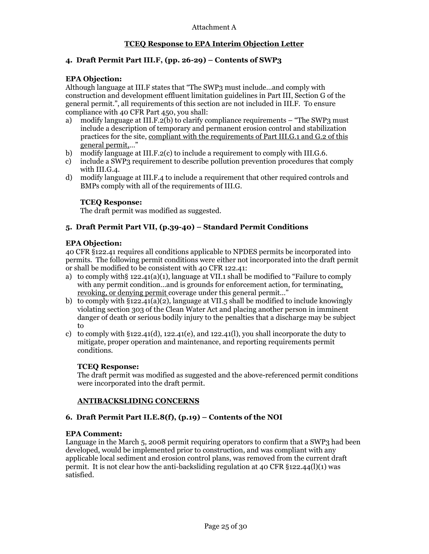# 4. Draft Permit Part III.F, (pp. 26-29) – Contents of SWP3

## EPA Objection:

Although language at III.F states that "The SWP3 must include…and comply with construction and development effluent limitation guidelines in Part III, Section G of the general permit.", all requirements of this section are not included in III.F. To ensure compliance with 40 CFR Part 450, you shall:

- a) modify language at III.F.2(b) to clarify compliance requirements "The SWP3 must include a description of temporary and permanent erosion control and stabilization practices for the site, compliant with the requirements of Part III.G.1 and G.2 of this general permit,…"
- b) modify language at III.F.2(c) to include a requirement to comply with III.G.6.
- c) include a SWP3 requirement to describe pollution prevention procedures that comply with III.G.4.
- d) modify language at III.F.4 to include a requirement that other required controls and BMPs comply with all of the requirements of III.G.

#### TCEQ Response:

The draft permit was modified as suggested.

## 5. Draft Permit Part VII, (p.39-40) – Standard Permit Conditions

#### EPA Objection:

40 CFR §122.41 requires all conditions applicable to NPDES permits be incorporated into permits. The following permit conditions were either not incorporated into the draft permit or shall be modified to be consistent with 40 CFR 122.41:

- a) to comply with§ 122.41(a)(1), language at VII.1 shall be modified to "Failure to comply with any permit condition…and is grounds for enforcement action, for terminating, revoking, or denying permit coverage under this general permit…"
- b) to comply with  $\S 122.41(a)(2)$ , language at VII.5 shall be modified to include knowingly violating section 303 of the Clean Water Act and placing another person in imminent danger of death or serious bodily injury to the penalties that a discharge may be subject to
- c) to comply with  $\S 122.41(d)$ , 122.41(e), and 122.41(l), you shall incorporate the duty to mitigate, proper operation and maintenance, and reporting requirements permit conditions.

#### TCEQ Response:

The draft permit was modified as suggested and the above-referenced permit conditions were incorporated into the draft permit.

#### ANTIBACKSLIDING CONCERNS

## 6. Draft Permit Part II.E.8(f), (p.19) – Contents of the NOI

#### EPA Comment:

Language in the March 5, 2008 permit requiring operators to confirm that a SWP3 had been developed, would be implemented prior to construction, and was compliant with any applicable local sediment and erosion control plans, was removed from the current draft permit. It is not clear how the anti-backsliding regulation at 40 CFR §122.44(l)(1) was satisfied.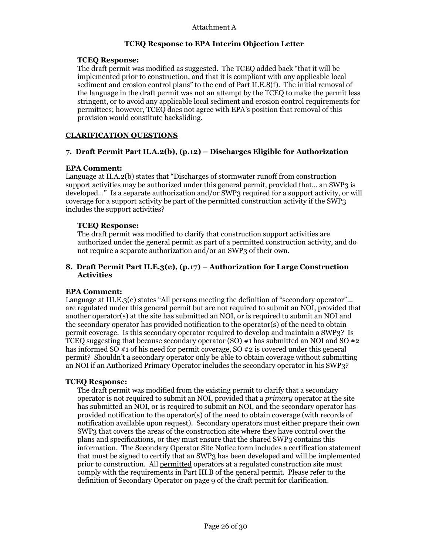#### TCEQ Response:

The draft permit was modified as suggested. The TCEQ added back "that it will be implemented prior to construction, and that it is compliant with any applicable local sediment and erosion control plans" to the end of Part II.E.8(f). The initial removal of the language in the draft permit was not an attempt by the TCEQ to make the permit less stringent, or to avoid any applicable local sediment and erosion control requirements for permittees; however, TCEQ does not agree with EPA's position that removal of this provision would constitute backsliding.

## CLARIFICATION QUESTIONS

## 7. Draft Permit Part II.A.2(b), (p.12) – Discharges Eligible for Authorization

#### EPA Comment:

Language at II.A.2(b) states that "Discharges of stormwater runoff from construction support activities may be authorized under this general permit, provided that… an SWP3 is developed…" Is a separate authorization and/or SWP3 required for a support activity, or will coverage for a support activity be part of the permitted construction activity if the SWP3 includes the support activities?

#### TCEQ Response:

The draft permit was modified to clarify that construction support activities are authorized under the general permit as part of a permitted construction activity, and do not require a separate authorization and/or an SWP3 of their own.

## 8. Draft Permit Part II.E.3(e), (p.17) – Authorization for Large Construction **Activities**

#### EPA Comment:

Language at III.E.3(e) states "All persons meeting the definition of "secondary operator"... are regulated under this general permit but are not required to submit an NOI, provided that another operator(s) at the site has submitted an NOI, or is required to submit an NOI and the secondary operator has provided notification to the operator(s) of the need to obtain permit coverage. Is this secondary operator required to develop and maintain a SWP3? Is TCEQ suggesting that because secondary operator (SO)  $#1$  has submitted an NOI and SO  $#2$ has informed SO #1 of his need for permit coverage, SO #2 is covered under this general permit? Shouldn't a secondary operator only be able to obtain coverage without submitting an NOI if an Authorized Primary Operator includes the secondary operator in his SWP3?

#### TCEQ Response:

The draft permit was modified from the existing permit to clarify that a secondary operator is not required to submit an NOI, provided that a primary operator at the site has submitted an NOI, or is required to submit an NOI, and the secondary operator has provided notification to the operator(s) of the need to obtain coverage (with records of notification available upon request). Secondary operators must either prepare their own SWP3 that covers the areas of the construction site where they have control over the plans and specifications, or they must ensure that the shared SWP3 contains this information. The Secondary Operator Site Notice form includes a certification statement that must be signed to certify that an SWP3 has been developed and will be implemented prior to construction. All permitted operators at a regulated construction site must comply with the requirements in Part III.B of the general permit. Please refer to the definition of Secondary Operator on page 9 of the draft permit for clarification.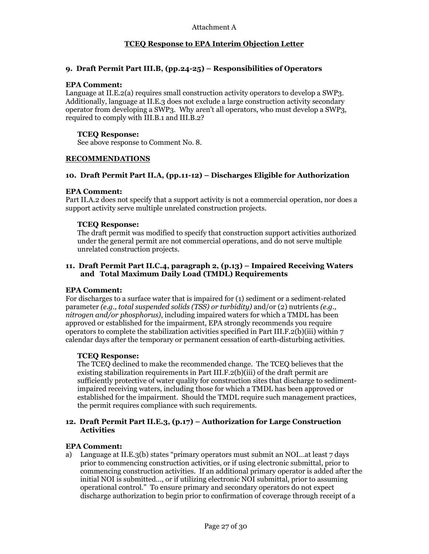# 9. Draft Permit Part III.B, (pp.24-25) – Responsibilities of Operators

#### EPA Comment:

Language at II.E.2(a) requires small construction activity operators to develop a SWP3. Additionally, language at II.E.3 does not exclude a large construction activity secondary operator from developing a SWP3. Why aren't all operators, who must develop a SWP3, required to comply with III.B.1 and III.B.2?

### TCEQ Response:

See above response to Comment No. 8.

## RECOMMENDATIONS

## 10. Draft Permit Part II.A, (pp.11-12) – Discharges Eligible for Authorization

#### EPA Comment:

Part II.A.2 does not specify that a support activity is not a commercial operation, nor does a support activity serve multiple unrelated construction projects.

#### TCEQ Response:

The draft permit was modified to specify that construction support activities authorized under the general permit are not commercial operations, and do not serve multiple unrelated construction projects.

#### 11. Draft Permit Part II.C.4, paragraph 2, (p.13) – Impaired Receiving Waters and Total Maximum Daily Load (TMDL) Requirements

#### EPA Comment:

For discharges to a surface water that is impaired for  $(1)$  sediment or a sediment-related parameter (e.g., total suspended solids (TSS) or turbidity) and/or (2) nutrients (e.g., nitrogen and/or phosphorus), including impaired waters for which a TMDL has been approved or established for the impairment, EPA strongly recommends you require operators to complete the stabilization activities specified in Part III.F.2(b)(iii) within  $7$ calendar days after the temporary or permanent cessation of earth-disturbing activities.

## TCEQ Response:

The TCEQ declined to make the recommended change. The TCEQ believes that the existing stabilization requirements in Part III.F.2(b)(iii) of the draft permit are sufficiently protective of water quality for construction sites that discharge to sedimentimpaired receiving waters, including those for which a TMDL has been approved or established for the impairment. Should the TMDL require such management practices, the permit requires compliance with such requirements.

#### 12. Draft Permit Part II.E.3, (p.17) – Authorization for Large Construction Activities

## EPA Comment:

a) Language at II.E.3(b) states "primary operators must submit an NOI…at least 7 days prior to commencing construction activities, or if using electronic submittal, prior to commencing construction activities. If an additional primary operator is added after the initial NOI is submitted…, or if utilizing electronic NOI submittal, prior to assuming operational control." To ensure primary and secondary operators do not expect discharge authorization to begin prior to confirmation of coverage through receipt of a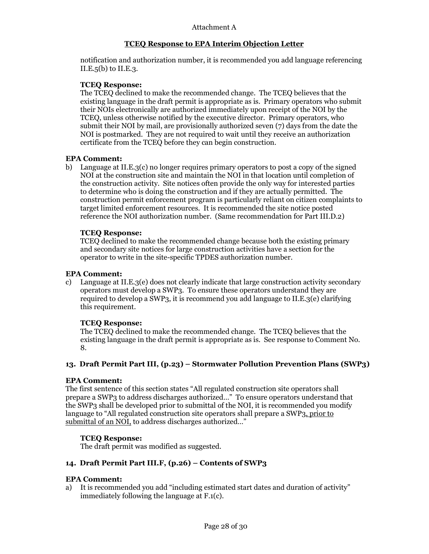notification and authorization number, it is recommended you add language referencing II.E. $5(b)$  to II.E. $3$ .

## TCEQ Response:

The TCEQ declined to make the recommended change. The TCEQ believes that the existing language in the draft permit is appropriate as is. Primary operators who submit their NOIs electronically are authorized immediately upon receipt of the NOI by the TCEQ, unless otherwise notified by the executive director. Primary operators, who submit their NOI by mail, are provisionally authorized seven (7) days from the date the NOI is postmarked. They are not required to wait until they receive an authorization certificate from the TCEQ before they can begin construction.

## EPA Comment:

b) Language at II.E.3(c) no longer requires primary operators to post a copy of the signed NOI at the construction site and maintain the NOI in that location until completion of the construction activity. Site notices often provide the only way for interested parties to determine who is doing the construction and if they are actually permitted. The construction permit enforcement program is particularly reliant on citizen complaints to target limited enforcement resources. It is recommended the site notice posted reference the NOI authorization number. (Same recommendation for Part III.D.2)

## TCEQ Response:

TCEQ declined to make the recommended change because both the existing primary and secondary site notices for large construction activities have a section for the operator to write in the site-specific TPDES authorization number.

## EPA Comment:

c) Language at II.E.3(e) does not clearly indicate that large construction activity secondary operators must develop a SWP3. To ensure these operators understand they are required to develop a SWP3, it is recommend you add language to II.E.3(e) clarifying this requirement.

## TCEQ Response:

The TCEQ declined to make the recommended change. The TCEQ believes that the existing language in the draft permit is appropriate as is. See response to Comment No. 8.

## 13. Draft Permit Part III, (p.23) – Stormwater Pollution Prevention Plans (SWP3)

## EPA Comment:

The first sentence of this section states "All regulated construction site operators shall prepare a SWP3 to address discharges authorized…" To ensure operators understand that the SWP3 shall be developed prior to submittal of the NOI, it is recommended you modify language to "All regulated construction site operators shall prepare a SWP3, prior to submittal of an NOI, to address discharges authorized…"

## TCEQ Response:

The draft permit was modified as suggested.

## 14. Draft Permit Part III.F, (p.26) – Contents of SWP3

## EPA Comment:

a) It is recommended you add "including estimated start dates and duration of activity" immediately following the language at F.1(c).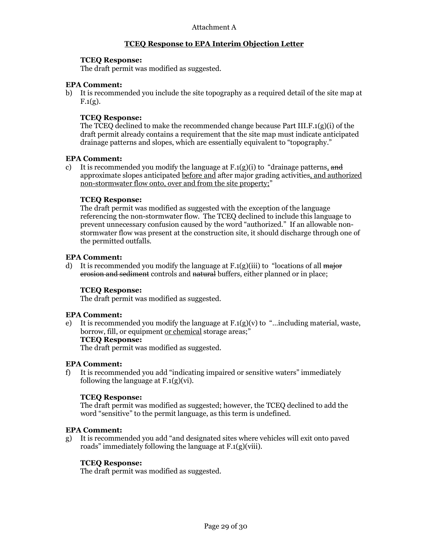#### TCEQ Response:

The draft permit was modified as suggested.

#### EPA Comment:

b) It is recommended you include the site topography as a required detail of the site map at  $F.1(g)$ .

#### TCEQ Response:

The TCEQ declined to make the recommended change because Part III.F.1(g)(i) of the draft permit already contains a requirement that the site map must indicate anticipated drainage patterns and slopes, which are essentially equivalent to "topography."

#### EPA Comment:

c) It is recommended you modify the language at  $F(1(g)(i))$  to "drainage patterns, and approximate slopes anticipated before and after major grading activities, and authorized non-stormwater flow onto, over and from the site property;"

### TCEQ Response:

The draft permit was modified as suggested with the exception of the language referencing the non-stormwater flow. The TCEQ declined to include this language to prevent unnecessary confusion caused by the word "authorized." If an allowable nonstormwater flow was present at the construction site, it should discharge through one of the permitted outfalls.

#### EPA Comment:

d) It is recommended you modify the language at  $F(1(g)(iii))$  to "locations of all major erosion and sediment controls and natural buffers, either planned or in place;

## TCEQ Response:

The draft permit was modified as suggested.

#### EPA Comment:

e) It is recommended you modify the language at  $F(1(g)(v))$  to "...including material, waste, borrow, fill, or equipment or chemical storage areas;'

TCEQ Response:

The draft permit was modified as suggested.

## EPA Comment:

f) It is recommended you add "indicating impaired or sensitive waters" immediately following the language at F.1(g)(vi).

#### TCEQ Response:

The draft permit was modified as suggested; however, the TCEQ declined to add the word "sensitive" to the permit language, as this term is undefined.

#### EPA Comment:

g) It is recommended you add "and designated sites where vehicles will exit onto paved roads" immediately following the language at F.1(g)(viii).

## TCEQ Response:

The draft permit was modified as suggested.